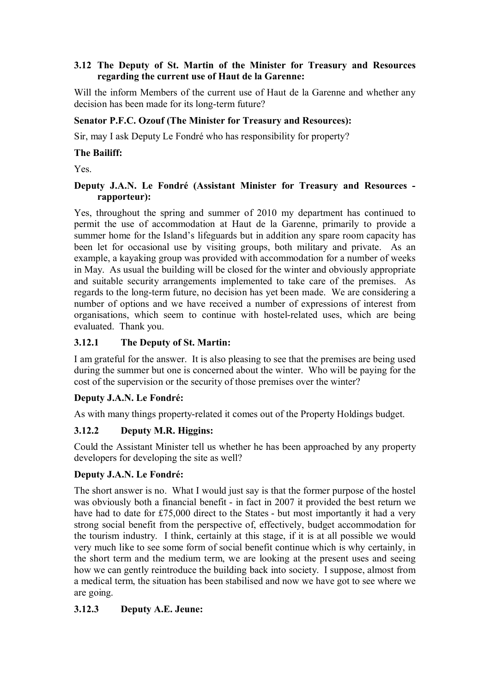### **3.12 The Deputy of St. Martin of the Minister for Treasury and Resources regarding the current use of Haut de la Garenne:**

Will the inform Members of the current use of Haut de la Garenne and whether any decision has been made for its long-term future?

#### **Senator P.F.C. Ozouf (The Minister for Treasury and Resources):**

Sir, may I ask Deputy Le Fondré who has responsibility for property?

#### **The Bailiff:**

Yes.

#### **Deputy J.A.N. Le Fondré (Assistant Minister for Treasury and Resources rapporteur):**

Yes, throughout the spring and summer of 2010 my department has continued to permit the use of accommodation at Haut de la Garenne, primarily to provide a summer home for the Island's lifeguards but in addition any spare room capacity has been let for occasional use by visiting groups, both military and private. As an example, a kayaking group was provided with accommodation for a number of weeks in May. As usual the building will be closed for the winter and obviously appropriate and suitable security arrangements implemented to take care of the premises. As regards to the long-term future, no decision has yet been made. We are considering a number of options and we have received a number of expressions of interest from organisations, which seem to continue with hostel-related uses, which are being evaluated. Thank you.

### **3.12.1 The Deputy of St. Martin:**

I am grateful for the answer. It is also pleasing to see that the premises are being used during the summer but one is concerned about the winter. Who will be paying for the cost of the supervision or the security of those premises over the winter?

### **Deputy J.A.N. Le Fondré:**

As with many things property-related it comes out of the Property Holdings budget.

### **3.12.2 Deputy M.R. Higgins:**

Could the Assistant Minister tell us whether he has been approached by any property developers for developing the site as well?

### **Deputy J.A.N. Le Fondré:**

The short answer is no. What I would just say is that the former purpose of the hostel was obviously both a financial benefit - in fact in 2007 it provided the best return we have had to date for £75,000 direct to the States - but most importantly it had a very strong social benefit from the perspective of, effectively, budget accommodation for the tourism industry. I think, certainly at this stage, if it is at all possible we would very much like to see some form of social benefit continue which is why certainly, in the short term and the medium term, we are looking at the present uses and seeing how we can gently reintroduce the building back into society. I suppose, almost from a medical term, the situation has been stabilised and now we have got to see where we are going.

### **3.12.3 Deputy A.E. Jeune:**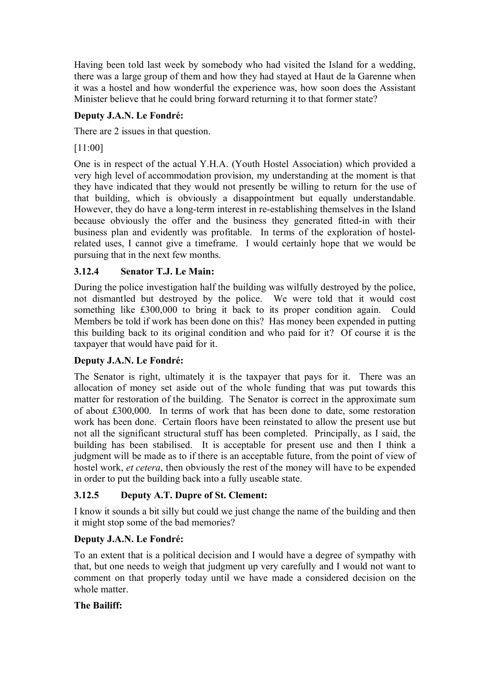Having been told last week by somebody who had visited the Island for a wedding, there was a large group of them and how they had stayed at Haut de la Garenne when it was a hostel and how wonderful the experience was, how soon does the Assistant Minister believe that he could bring forward returning it to that former state?

# **Deputy J.A.N. Le Fondré:**

There are 2 issues in that question.

[11:00]

One is in respect of the actual Y.H.A. (Youth Hostel Association) which provided a very high level of accommodation provision, my understanding at the moment is that they have indicated that they would not presently be willing to return for the use of that building, which is obviously a disappointment but equally understandable. However, they do have a long-term interest in re-establishing themselves in the Island because obviously the offer and the business they generated fitted-in with their business plan and evidently was profitable. In terms of the exploration of hostelrelated uses, I cannot give a timeframe. I would certainly hope that we would be pursuing that in the next few months.

# **3.12.4 Senator T.J. Le Main:**

During the police investigation half the building was wilfully destroyed by the police, not dismantled but destroyed by the police. We were told that it would cost something like £300,000 to bring it back to its proper condition again. Could Members be told if work has been done on this? Has money been expended in putting this building back to its original condition and who paid for it? Of course it is the taxpayer that would have paid for it.

# **Deputy J.A.N. Le Fondré:**

The Senator is right, ultimately it is the taxpayer that pays for it. There was an allocation of money set aside out of the whole funding that was put towards this matter for restoration of the building. The Senator is correct in the approximate sum of about £300,000. In terms of work that has been done to date, some restoration work has been done. Certain floors have been reinstated to allow the present use but not all the significant structural stuff has been completed. Principally, as I said, the building has been stabilised. It is acceptable for present use and then I think a judgment will be made as to if there is an acceptable future, from the point of view of hostel work, *et cetera*, then obviously the rest of the money will have to be expended in order to put the building back into a fully useable state.

# **3.12.5 Deputy A.T. Dupre of St. Clement:**

I know it sounds a bit silly but could we just change the name of the building and then it might stop some of the bad memories?

# **Deputy J.A.N. Le Fondré:**

To an extent that is a political decision and I would have a degree of sympathy with that, but one needs to weigh that judgment up very carefully and I would not want to comment on that properly today until we have made a considered decision on the whole matter

# **The Bailiff:**